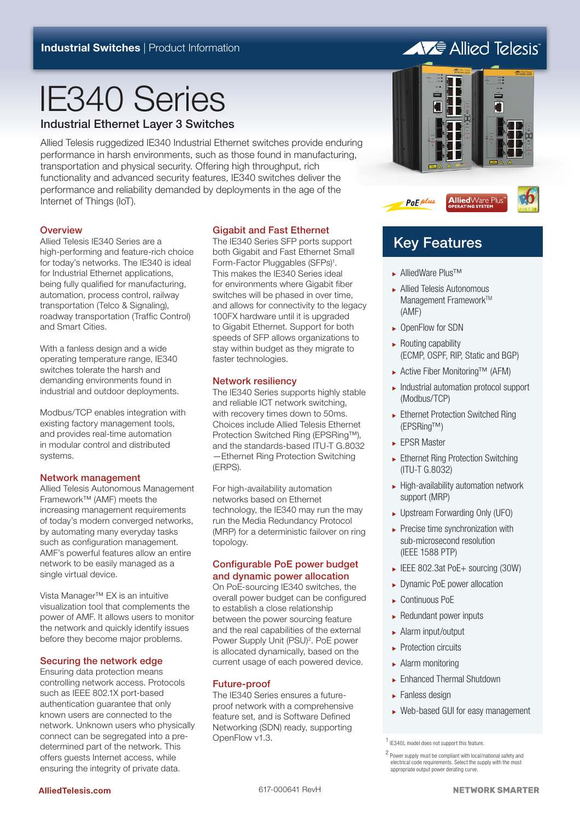# IE340 Series

#### Industrial Ethernet Layer 3 Switches

Allied Telesis ruggedized IE340 Industrial Ethernet switches provide enduring performance in harsh environments, such as those found in manufacturing, transportation and physical security. Offering high throughput, rich functionality and advanced security features, IE340 switches deliver the performance and reliability demanded by deployments in the age of the Internet of Things (IoT).

#### **Overview**

Allied Telesis IE340 Series are a high-performing and feature-rich choice for today's networks. The IE340 is ideal for Industrial Ethernet applications, being fully qualified for manufacturing, automation, process control, railway transportation (Telco & Signaling), roadway transportation (Traffic Control) and Smart Cities.

With a fanless design and a wide operating temperature range, IE340 switches tolerate the harsh and demanding environments found in industrial and outdoor deployments.

Modbus/TCP enables integration with existing factory management tools, and provides real-time automation in modular control and distributed systems.

#### Network management

Allied Telesis Autonomous Management Framework™ (AMF) meets the increasing management requirements of today's modern converged networks, by automating many everyday tasks such as configuration management. AMF's powerful features allow an entire network to be easily managed as a single virtual device.

Vista Manager™ EX is an intuitive visualization tool that complements the power of AMF. It allows users to monitor the network and quickly identify issues before they become major problems.

#### Securing the network edge

Ensuring data protection means controlling network access. Protocols such as IEEE 802.1X port-based authentication guarantee that only known users are connected to the network. Unknown users who physically connect can be segregated into a predetermined part of the network. This offers guests Internet access, while ensuring the integrity of private data.

#### Gigabit and Fast Ethernet

The IE340 Series SFP ports support both Gigabit and Fast Ethernet Small Form-Factor Pluggables (SFPs)<sup>1</sup>. This makes the IE340 Series ideal for environments where Gigabit fiber switches will be phased in over time, and allows for connectivity to the legacy 100FX hardware until it is upgraded to Gigabit Ethernet. Support for both speeds of SFP allows organizations to stay within budget as they migrate to faster technologies.

#### Network resiliency

The IE340 Series supports highly stable and reliable ICT network switching, with recovery times down to 50ms. Choices include Allied Telesis Ethernet Protection Switched Ring (EPSRing™), and the standards-based ITU-T G.8032 —Ethernet Ring Protection Switching (ERPS).

For high-availability automation networks based on Ethernet technology, the IE340 may run the may run the Media Redundancy Protocol (MRP) for a deterministic failover on ring topology.

#### Configurable PoE power budget and dynamic power allocation

On PoE-sourcing IE340 switches, the overall power budget can be configured to establish a close relationship between the power sourcing feature and the real capabilities of the external Power Supply Unit (PSU)<sup>2</sup>. PoE power is allocated dynamically, based on the current usage of each powered device.

#### Future-proof

The IE340 Series ensures a futureproof network with a comprehensive feature set, and is Software Defined Networking (SDN) ready, supporting OpenFlow v1.3.

## **AVE** Allied Telesis Б в



## Key Features

<sup>ۼ</sup> AlliedWare Plus™

PoE plus

- <sup>ۼ</sup> Allied Telesis Autonomous Management Framework™ (AMF)
- ► OpenFlow for SDN
- $\blacktriangleright$  Routing capability (ECMP, OSPF, RIP, Static and BGP)
- <sup>ۼ</sup> Active Fiber Monitoring™ (AFM)
- <sup>ۼ</sup> Industrial automation protocol support (Modbus/TCP)
- ► Ethernet Protection Switched Ring (EPSRing™)
- ► EPSR Master
- ► Ethernet Ring Protection Switching (ITU-T G.8032)
- <sup>ۼ</sup> High-availability automation network support (MRP)
- ► Upstream Forwarding Only (UFO)
- $\blacktriangleright$  Precise time synchronization with sub-microsecond resolution (IEEE 1588 PTP)
- ► IEEE 802.3at PoE+ sourcing (30W)
- ▶ Dynamic PoE power allocation
- <sup>ۼ</sup> Continuous PoE
- $\blacktriangleright$  Redundant power inputs
- <sup>ۼ</sup> Alarm input/output
- $\blacktriangleright$  Protection circuits
- <sup>ۼ</sup> Alarm monitoring
- <sup>ۼ</sup> Enhanced Thermal Shutdown
- $\blacktriangleright$  Fanless design
- <sup>ۼ</sup> Web-based GUI for easy management

<sup>1</sup> IE340L model does not support this feature.

<sup>2</sup> Power supply must be compliant with local/national safety and electrical code requirements. Select the supply with the most appropriate output power derating curve.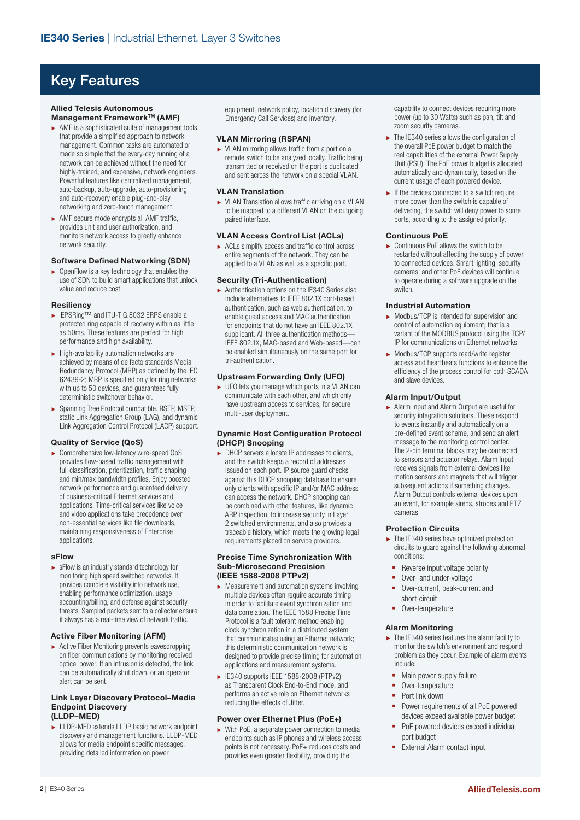## Key Features

#### **Allied Telesis Autonomous Management Framework™ (AMF)**

- $\blacktriangleright$  AMF is a sophisticated suite of management tools that provide a simplified approach to network management. Common tasks are automated or made so simple that the every-day running of a network can be achieved without the need for highly-trained, and expensive, network engineers. Powerful features like centralized management, auto-backup, auto-upgrade, auto-provisioning and auto-recovery enable plug-and-play networking and zero-touch management.
- $\blacktriangleright$  AMF secure mode encrypts all AMF traffic, provides unit and user authorization, and monitors network access to greatly enhance network security.

#### **Software Defined Networking (SDN)**

 $\rightarrow$  OpenFlow is a key technology that enables the use of SDN to build smart applications that unlock value and reduce cost.

#### **Resiliency**

- ۼ EPSRing™ and ITU-T G.8032 ERPS enable a protected ring capable of recovery within as little as 50ms. These features are perfect for high performance and high availability.
- $\blacktriangleright$  High-availability automation networks are achieved by means of de facto standards Media Redundancy Protocol (MRP) as defined by the IEC 62439-2; MRP is specified only for ring networks with up to 50 devices, and guarantees fully deterministic switchover behavior.
- ۼ Spanning Tree Protocol compatible. RSTP, MSTP, static Link Aggregation Group (LAG), and dynamic Link Aggregation Control Protocol (LACP) support.

#### **Quality of Service (QoS)**

ۼ Comprehensive low-latency wire-speed QoS provides flow-based traffic management with full classification, prioritization, traffic shaping and min/max bandwidth profiles. Enjoy boosted network performance and guaranteed delivery of business-critical Ethernet services and applications. Time-critical services like voice and video applications take precedence over non-essential services like file downloads, maintaining responsiveness of Enterprise applications.

#### **sFlow**

 $\blacktriangleright$  sFlow is an industry standard technology for monitoring high speed switched networks. It provides complete visibility into network use, enabling performance optimization, usage accounting/billing, and defense against security threats. Sampled packets sent to a collector ensure it always has a real-time view of network traffic.

#### **Active Fiber Monitoring (AFM)**

 $\blacktriangleright$  Active Fiber Monitoring prevents eavesdropping on fiber communications by monitoring received optical power. If an intrusion is detected, the link can be automatically shut down, or an operator alert can be sent.

#### **Link Layer Discovery Protocol–Media Endpoint Discovery (LLDP–MED)**

► LLDP-MED extends LLDP basic network endpoint discovery and management functions. LLDP-MED allows for media endpoint specific messages, providing detailed information on power

equipment, network policy, location discovery (for Emergency Call Services) and inventory.

#### **VLAN Mirroring (RSPAN)**

▶ VLAN mirroring allows traffic from a port on a remote switch to be analyzed locally. Traffic being transmitted or received on the port is duplicated and sent across the network on a special VLAN.

#### **VLAN Translation**

► VLAN Translation allows traffic arriving on a VLAN to be mapped to a different VLAN on the outgoing paired interface.

#### **VLAN Access Control List (ACLs)**

 $\triangleright$  ACLs simplify access and traffic control across entire segments of the network. They can be applied to a VLAN as well as a specific port.

#### **Security (Tri-Authentication)**

 $\blacktriangleright$  Authentication options on the IE340 Series also include alternatives to IEEE 802.1X port-based authentication, such as web authentication, to enable guest access and MAC authentication for endpoints that do not have an IEEE 802.1X supplicant. All three authentication methods— IEEE 802.1X, MAC-based and Web-based—can be enabled simultaneously on the same port for tri-authentication.

#### **Upstream Forwarding Only (UFO)**

► UFO lets you manage which ports in a VLAN can communicate with each other, and which only have upstream access to services, for secure multi-user deployment.

#### **Dynamic Host Configuration Protocol (DHCP) Snooping**

► DHCP servers allocate IP addresses to clients, and the switch keeps a record of addresses issued on each port. IP source guard checks against this DHCP snooping database to ensure only clients with specific IP and/or MAC address can access the network. DHCP snooping can be combined with other features, like dynamic ARP inspection, to increase security in Layer 2 switched environments, and also provides a traceable history, which meets the growing legal requirements placed on service providers.

#### **Precise Time Synchronization With Sub-Microsecond Precision (IEEE 1588-2008 PTPv2)**

- $\blacktriangleright$  Measurement and automation systems involving multiple devices often require accurate timing in order to facilitate event synchronization and data correlation. The IEEE 1588 Precise Time Protocol is a fault tolerant method enabling clock synchronization in a distributed system that communicates using an Ethernet network; this deterministic communication network is designed to provide precise timing for automation applications and measurement systems.
- ۼ IE340 supports IEEE 1588-2008 (PTPv2) as Transparent Clock End-to-End mode, and performs an active role on Ethernet networks reducing the effects of Jitter.

#### **Power over Ethernet Plus (PoE+)**

 $\triangleright$  With PoE, a separate power connection to media endpoints such as IP phones and wireless access points is not necessary. PoE+ reduces costs and provides even greater flexibility, providing the

capability to connect devices requiring more power (up to 30 Watts) such as pan, tilt and zoom security cameras.

- $\blacktriangleright$  The IE340 series allows the configuration of the overall PoE power budget to match the real capabilities of the external Power Supply Unit (PSU). The PoE power budget is allocated automatically and dynamically, based on the current usage of each powered device.
- $\blacktriangleright$  If the devices connected to a switch require more power than the switch is capable of delivering, the switch will deny power to some ports, according to the assigned priority.

#### **Continuous PoE**

 $\triangleright$  Continuous PoE allows the switch to be restarted without affecting the supply of power to connected devices. Smart lighting, security cameras, and other PoE devices will continue to operate during a software upgrade on the switch.

#### **Industrial Automation**

- $\triangleright$  Modbus/TCP is intended for supervision and control of automation equipment; that is a variant of the MODBUS protocol using the TCP/ IP for communications on Ethernet networks.
- ▶ Modbus/TCP supports read/write register access and heartbeats functions to enhance the efficiency of the process control for both SCADA and slave devices.

#### **Alarm Input/Output**

ۼ Alarm Input and Alarm Output are useful for security integration solutions. These respond to events instantly and automatically on a pre-defined event scheme, and send an alert message to the monitoring control center. The 2-pin terminal blocks may be connected to sensors and actuator relays. Alarm Input receives signals from external devices like motion sensors and magnets that will trigger subsequent actions if something changes. Alarm Output controls external devices upon an event, for example sirens, strobes and PTZ cameras.

#### **Protection Circuits**

- $\blacktriangleright$  The IE340 series have optimized protection circuits to guard against the following abnormal conditions:
	- Reverse input voltage polarity
- Over- and under-voltage
- Over-current, peak-current and short-circuit
- Over-temperature

#### **Alarm Monitoring**

- $\blacktriangleright$  The IE340 series features the alarm facility to monitor the switch's environment and respond problem as they occur. Example of alarm events include:
	- Main power supply failure
	- Over-temperature
- **Port link down**
- **Power requirements of all PoE powered** devices exceed available power budget
- PoE powered devices exceed individual port budget
- **External Alarm contact input**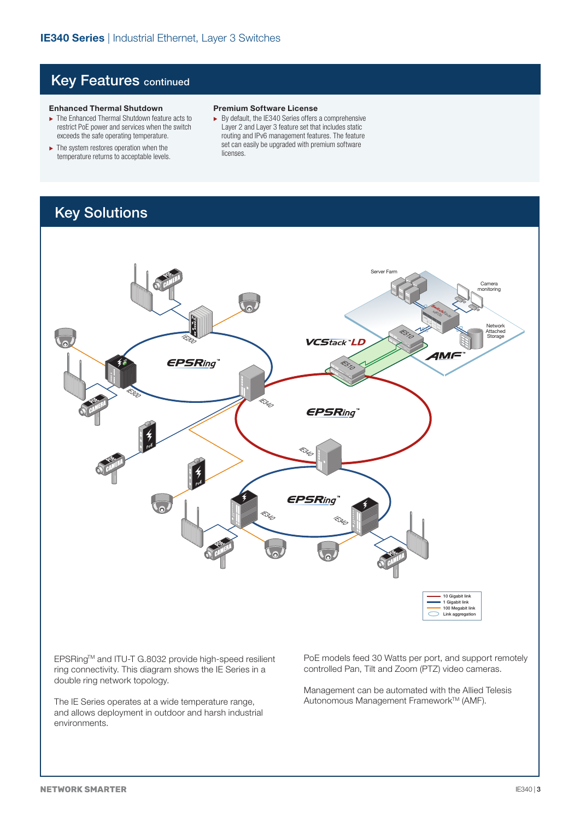### **Key Features continued**

#### **Enhanced Thermal Shutdown**

- ► The Enhanced Thermal Shutdown feature acts to restrict PoE power and services when the switch exceeds the safe operating temperature.
- $\blacktriangleright$  The system restores operation when the temperature returns to acceptable levels.

#### **Premium Software License**

 $\blacktriangleright$  By default, the IE340 Series offers a comprehensive Layer 2 and Layer 3 feature set that includes static routing and IPv6 management features. The feature set can easily be upgraded with premium software licenses.

## Key Solutions



EPSRingTM and ITU-T G.8032 provide high-speed resilient ring connectivity. This diagram shows the IE Series in a double ring network topology.

The IE Series operates at a wide temperature range, and allows deployment in outdoor and harsh industrial environments.

PoE models feed 30 Watts per port, and support remotely controlled Pan, Tilt and Zoom (PTZ) video cameras.

Management can be automated with the Allied Telesis Autonomous Management Framework™ (AMF).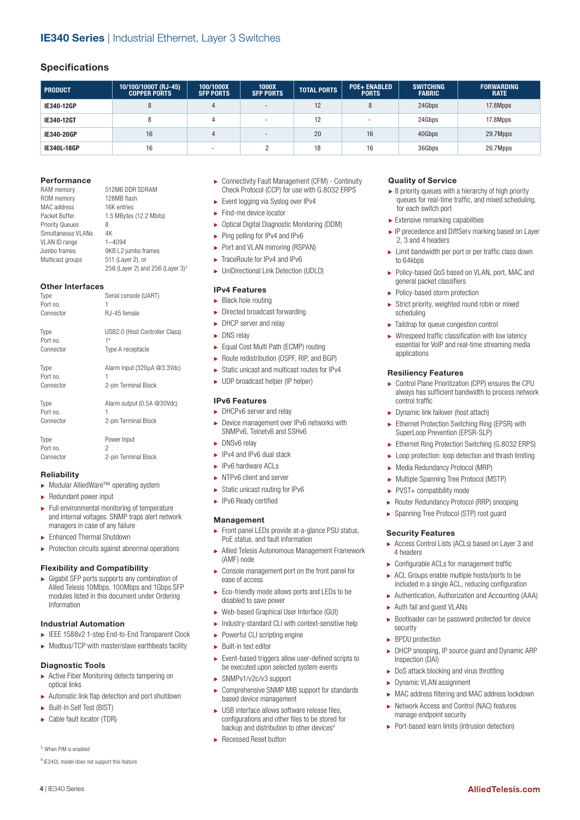#### **Specifications**

| <b>PRODUCT</b>     | 10/100/1000T (RJ-45)<br><b>COPPER PORTS</b> | 100/1000X<br><b>SFP PORTS</b> | 1000X<br><b>SFP PORTS</b> | <b>TOTAL PORTS</b> | <b>POE+ ENABLED</b><br><b>PORTS</b> | <b>SWITCHING</b><br><b>FABRIC</b> | <b>FORWARDING</b><br><b>RATE</b> |
|--------------------|---------------------------------------------|-------------------------------|---------------------------|--------------------|-------------------------------------|-----------------------------------|----------------------------------|
| IE340-12GP         | 8                                           |                               | $\overline{\phantom{0}}$  | 12                 |                                     | 24Gbps                            | 17.8Mpps                         |
| IE340-12GT         |                                             |                               | <b>.</b>                  | 12                 |                                     | 24Gbps                            | 17.8Mpps                         |
| IE340-20GP         | 16                                          |                               | $\overline{\phantom{0}}$  | 20                 | 16                                  | 40Gbps                            | 29.7Mpps                         |
| <b>IE340L-18GP</b> | 16                                          | . .                           |                           | 18                 | 16                                  | 36Gbps                            | 26.7Mpps                         |

#### **Performance**

| RAM memory             | 512MB DDR SDRAM                              |
|------------------------|----------------------------------------------|
| ROM memory             | 128MB flash                                  |
| MAC address            | 16K entries                                  |
| Packet Buffer          | 1.5 MBytes (12.2 Mbits)                      |
| <b>Priority Queues</b> | 8                                            |
| Simultaneous VI ANs    | 4K                                           |
| VLAN ID range          | $1 - 4094$                                   |
| Jumbo frames           | 9KB L2 jumbo frames                          |
| Multicast groups       | 511 (Layer 2), or                            |
|                        | 256 (Layer 2) and 256 (Layer 3) <sup>3</sup> |

#### **Other Interfaces**

| Type      | Serial console (UART)          |
|-----------|--------------------------------|
| Port no.  | 1                              |
| Connector | RJ-45 female                   |
| Type      | USB2.0 (Host Controller Class) |
| Port no.  | 1 <sup>4</sup>                 |
| Connector | Type A receptacle              |
| Type      | Alarm input (320µA @3.3Vdc)    |
| Port no.  | 1                              |
| Connector | 2-pin Terminal Block           |
| Type      | Alarm output (0.5A @30Vdc)     |
| Port no.  | 1                              |
| Connector | 2-pin Terminal Block           |
| Type      | Power Input                    |
| Port no.  | 2                              |
| Connector | 2-pin Terminal Block           |

#### **Reliability**

- ۼ Modular AlliedWare™ operating system
- $\blacktriangleright$  Redundant power input
- ۼ Full environmental monitoring of temperature and internal voltages. SNMP traps alert network managers in case of any failure
- ۼ Enhanced Thermal Shutdown
- $\blacktriangleright$  Protection circuits against abnormal operations

#### **Flexibility and Compatibility**

ۼ Gigabit SFP ports supports any combination of Allied Telesis 10Mbps, 100Mbps and 1Gbps SFP modules listed in this document under Ordering Information

#### **Industrial Automation**

- ۼ IEEE 1588v2 1-step End-to-End Transparent Clock
- $\triangleright$  Modbus/TCP with master/slave earthbeats facility

#### **Diagnostic Tools**

- ▶ Active Fiber Monitoring detects tampering on optical links
- $\blacktriangleright$  Automatic link flap detection and port shutdown
- ۼ Built-In Self Test (BIST)
- ۼ Cable fault locator (TDR)

#### 3 When PIM is enabled

4 | IE340 Series

4 IE340L model does not support this feature.

- ۼ Connectivity Fault Management (CFM) Continuity Check Protocol (CCP) for use with G.8032 ERPS
- ► Event logging via Syslog over IPv4
- $\blacktriangleright$  Find-me device locator
- ۼ Optical Digital Diagnostic Monitoring (DDM)
- ► Ping polling for IPv4 and IPv6
- ► Port and VLAN mirroring (RSPAN)
- ► TraceRoute for IPv4 and IPv6
- ۼ UniDirectional Link Detection (UDLD)

#### **IPv4 Features**

- $\blacktriangleright$  Black hole routing  $\blacktriangleright$  Directed broadcast forwarding
- **DHCP** server and relay
- **DNS** relay
- 
- ۼ Equal Cost Multi Path (ECMP) routing ► Route redistribution (OSPF, RIP, and BGP)
- ۼ Static unicast and multicast routes for IPv4
- 
- ۼ UDP broadcast helper (IP helper)

#### **IPv6 Features**

- ► DHCPv6 server and relay
- ۼ Device management over IPv6 networks with SNMPv6, Telnetv6 and SSHv6
- DNSv6 relay
- ► IPv4 and IPv6 dual stack
- ۼ IPv6 hardware ACLs
- ▶ NTPv6 client and server
- $\blacktriangleright$  Static unicast routing for IPv6
- **EXECUTE:** IPv6 Ready certified

#### **Management**

- ► Front panel LEDs provide at-a-glance PSU status, PoE status, and fault information
- ۼ Allied Telesis Autonomous Management Framework (AMF) node
- ۼ Console management port on the front panel for ease of access
- ► Eco-friendly mode allows ports and LEDs to be disabled to save power
- ۼ Web-based Graphical User Interface (GUI)
- ۼ Industry-standard CLI with context-sensitive help
- ► Powerful CLI scripting engine
- $\blacktriangleright$  Built-in text editor
- ۼ Event-based triggers allow user-defined scripts to be executed upon selected system events
- SNMPv1/v2c/v3 support
- ۼ Comprehensive SNMP MIB support for standards based device management
- $\blacktriangleright$  USB interface allows software release files, configurations and other files to be stored for backup and distribution to other devices<sup>4</sup>
- **EXEC** Recessed Reset button

#### **Quality of Service**

- $\triangleright$  8 priority queues with a hierarchy of high priority queues for real-time traffic, and mixed scheduling, for each switch port
- $\blacktriangleright$  Extensive remarking capabilities
- ► IP precedence and DiffServ marking based on Layer 2, 3 and 4 headers
- ► Limit bandwidth per port or per traffic class down to 64kbps
- ۼ Policy-based QoS based on VLAN, port, MAC and general packet classifiers
- ▶ Policy-based storm protection
- $\blacktriangleright$  Strict priority, weighted round robin or mixed scheduling
- $\blacktriangleright$  Taildrop for queue congestion control
- $\blacktriangleright$  Wirespeed traffic classification with low latency essential for VoIP and real-time streaming media applications

#### **Resiliency Features**

- ۼ Control Plane Prioritization (CPP) ensures the CPU always has sufficient bandwidth to process network control traffic
- ۼ Dynamic link failover (host attach)
- ► Ethernet Protection Switching Ring (EPSR) with SuperLoop Prevention (EPSR-SLP)
- ► Ethernet Ring Protection Switching (G.8032 ERPS)
	- ► Loop protection: loop detection and thrash limiting
	- ۼ Media Redundancy Protocol (MRP)
	- ۼ Multiple Spanning Tree Protocol (MSTP)
- ▶ PVST+ compatibility mode
- ۼ Router Redundancy Protocol (RRP) snooping
- ۼ Spanning Tree Protocol (STP) root guard

#### **Security Features**

- ۼ Access Control Lists (ACLs) based on Layer 3 and 4 headers
- $\triangleright$  Configurable ACLs for management traffic
- ▶ ACL Groups enable multiple hosts/ports to be included in a single ACL, reducing configuration
	- ▶ Authentication, Authorization and Accounting (AAA)
	- ۼ Auth fail and guest VLANs
	- $\blacktriangleright$  Bootloader can be password protected for device security
	- **BPDU** protection
	- ► DHCP snooping, IP source quard and Dynamic ARP Inspection (DAI)
	- $\blacktriangleright$  DoS attack blocking and virus throttling
	- ▶ Dynamic VLAN assignment
	- ▶ MAC address filtering and MAC address lockdown

**AlliedTelesis.com** 

- ► Network Access and Control (NAC) features manage endpoint security
- ۼ Port-based learn limits (intrusion detection)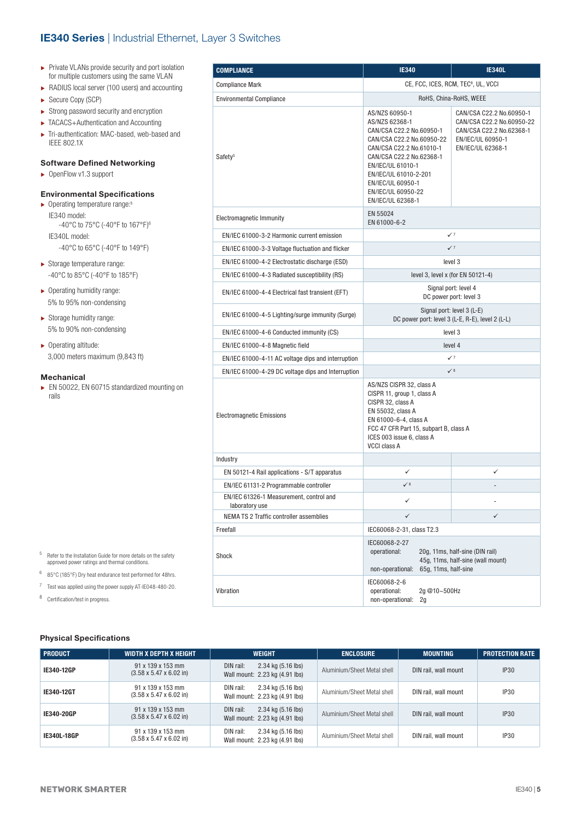#### **IE340 Series** | Industrial Ethernet, Layer 3 Switches

- ▶ Private VLANs provide security and port isolation for multiple customers using the same VLAN
- ► RADIUS local server (100 users) and accounting
- ► Secure Copy (SCP)
- $\blacktriangleright$  Strong password security and encryption
- ۼ TACACS+Authentication and Accounting
- ۼ Tri-authentication: MAC-based, web-based and IEEE 802.1X

#### **Software Defined Networking**

▶ OpenFlow v1.3 support

#### **Environmental Specifications**

- $\blacktriangleright$  Operating temperature range:<sup>5</sup> IE340 model: -40°C to 75°C (-40°F to 167°F)6 IE340L model: -40°C to 65°C (-40°F to 149°F)
- $\blacktriangleright$  Storage temperature range: -40°C to 85°C (-40°F to 185°F)
- ۼ Operating humidity range: 5% to 95% non-condensing
- ۼ Storage humidity range: 5% to 90% non-condensing
- ▶ Operating altitude: 3,000 meters maximum (9,843 ft)

#### **Mechanical**

► EN 50022, EN 60715 standardized mounting on rails

| <b>COMPLIANCE</b>                                         | <b>IE340</b>                                                                                                                                                                                                                                                    | <b>IE340L</b>                                                                                                               |
|-----------------------------------------------------------|-----------------------------------------------------------------------------------------------------------------------------------------------------------------------------------------------------------------------------------------------------------------|-----------------------------------------------------------------------------------------------------------------------------|
| <b>Compliance Mark</b>                                    |                                                                                                                                                                                                                                                                 | CE, FCC, ICES, RCM, TEC <sup>8</sup> , UL, VCCI                                                                             |
| <b>Environmental Compliance</b>                           |                                                                                                                                                                                                                                                                 | RoHS, China-RoHS, WEEE                                                                                                      |
| Safety <sup>5</sup>                                       | AS/NZS 60950-1<br>AS/NZS 62368-1<br>CAN/CSA C22.2 No.60950-1<br>CAN/CSA C22.2 No.60950-22<br>CAN/CSA C22.2 No.61010-1<br>CAN/CSA C22.2 No.62368-1<br>EN/IEC/UL 61010-1<br>EN/IEC/UL 61010-2-201<br>EN/IEC/UL 60950-1<br>EN/IEC/UL 60950-22<br>EN/IEC/UL 62368-1 | CAN/CSA C22.2 No.60950-1<br>CAN/CSA C22.2 No.60950-22<br>CAN/CSA C22.2 No.62368-1<br>EN/IEC/UL 60950-1<br>EN/IEC/UL 62368-1 |
| Electromagnetic Immunity                                  | EN 55024<br>EN 61000-6-2                                                                                                                                                                                                                                        |                                                                                                                             |
| EN/IEC 61000-3-2 Harmonic current emission                |                                                                                                                                                                                                                                                                 | $\checkmark$                                                                                                                |
| EN/IEC 61000-3-3 Voltage fluctuation and flicker          |                                                                                                                                                                                                                                                                 | $\checkmark$                                                                                                                |
| EN/IEC 61000-4-2 Electrostatic discharge (ESD)            |                                                                                                                                                                                                                                                                 | level 3                                                                                                                     |
| EN/IEC 61000-4-3 Radiated susceptibility (RS)             |                                                                                                                                                                                                                                                                 | level 3, level x (for EN 50121-4)                                                                                           |
| EN/IEC 61000-4-4 Electrical fast transient (EFT)          |                                                                                                                                                                                                                                                                 | Signal port: level 4<br>DC power port: level 3                                                                              |
| EN/IEC 61000-4-5 Lighting/surge immunity (Surge)          |                                                                                                                                                                                                                                                                 | Signal port: level 3 (L-E)<br>DC power port: level 3 (L-E, R-E), level 2 (L-L)                                              |
| EN/IEC 61000-4-6 Conducted immunity (CS)                  |                                                                                                                                                                                                                                                                 | level 3                                                                                                                     |
| EN/IEC 61000-4-8 Magnetic field                           |                                                                                                                                                                                                                                                                 | level 4                                                                                                                     |
| EN/IEC 61000-4-11 AC voltage dips and interruption        |                                                                                                                                                                                                                                                                 | $\checkmark$                                                                                                                |
| EN/IEC 61000-4-29 DC voltage dips and Interruption        |                                                                                                                                                                                                                                                                 | $\checkmark$ 8                                                                                                              |
| <b>Electromagnetic Emissions</b>                          | AS/NZS CISPR 32, class A<br>CISPR 11, group 1, class A<br>CISPR 32, class A<br>EN 55032, class A<br>EN 61000-6-4, class A<br>FCC 47 CFR Part 15, subpart B, class A<br>ICES 003 issue 6, class A<br><b>VCCI class A</b>                                         |                                                                                                                             |
| Industry                                                  |                                                                                                                                                                                                                                                                 |                                                                                                                             |
| EN 50121-4 Rail applications - S/T apparatus              | ✓                                                                                                                                                                                                                                                               | ✓                                                                                                                           |
| EN/IEC 61131-2 Programmable controller                    | $\checkmark$ 8                                                                                                                                                                                                                                                  |                                                                                                                             |
| EN/IEC 61326-1 Measurement, control and<br>laboratory use | $\checkmark$                                                                                                                                                                                                                                                    |                                                                                                                             |
| NEMA TS 2 Traffic controller assemblies                   | ✓                                                                                                                                                                                                                                                               | ✓                                                                                                                           |
| Freefall                                                  | IEC60068-2-31, class T2.3                                                                                                                                                                                                                                       |                                                                                                                             |
| Shock                                                     | IEC60068-2-27<br>operational:<br>non-operational:<br>65g, 11ms, half-sine                                                                                                                                                                                       | 20g, 11ms, half-sine (DIN rail)<br>45g, 11ms, half-sine (wall mount)                                                        |
| Vibration                                                 | IEC60068-2-6<br>operational:<br>2g @10~500Hz<br>non-operational:<br>2g                                                                                                                                                                                          |                                                                                                                             |

- $5$  Refer to the Installation Guide for more details on the safety approved power ratings and thermal conditions.
- <sup>6</sup> 85°C (185°F) Dry heat endurance test performed for 48hrs.
- <sup>7</sup> Test was applied using the power supply AT-IE048-480-20.

<sup>8</sup> Certification/test in progress.

#### **Physical Specifications**

| <b>PRODUCT</b> | WIDTH X DEPTH X HEIGHT                                   | <b>WEIGHT</b>                                                     | <b>ENCLOSURE</b>            | <b>MOUNTING</b>      | <b>PROTECTION RATE</b> |
|----------------|----------------------------------------------------------|-------------------------------------------------------------------|-----------------------------|----------------------|------------------------|
| IE340-12GP     | 91 x 139 x 153 mm<br>$(3.58 \times 5.47 \times 6.02)$ in | 2.34 kg (5.16 lbs)<br>DIN rail:<br>Wall mount: 2.23 kg (4.91 lbs) | Aluminium/Sheet Metal shell | DIN rail, wall mount | <b>IP30</b>            |
| IE340-12GT     | 91 x 139 x 153 mm<br>$(3.58 \times 5.47 \times 6.02)$ in | 2.34 kg (5.16 lbs)<br>DIN rail:<br>Wall mount: 2.23 kg (4.91 lbs) | Aluminium/Sheet Metal shell | DIN rail, wall mount | IP30                   |
| IE340-20GP     | 91 x 139 x 153 mm<br>$(3.58 \times 5.47 \times 6.02)$ in | 2.34 kg (5.16 lbs)<br>DIN rail:<br>Wall mount: 2.23 kg (4.91 lbs) | Aluminium/Sheet Metal shell | DIN rail, wall mount | IP30                   |
| IE340L-18GP    | 91 x 139 x 153 mm<br>$(3.58 \times 5.47 \times 6.02)$ in | DIN rail:<br>2.34 kg (5.16 lbs)<br>Wall mount: 2.23 kg (4.91 lbs) | Aluminium/Sheet Metal shell | DIN rail, wall mount | <b>IP30</b>            |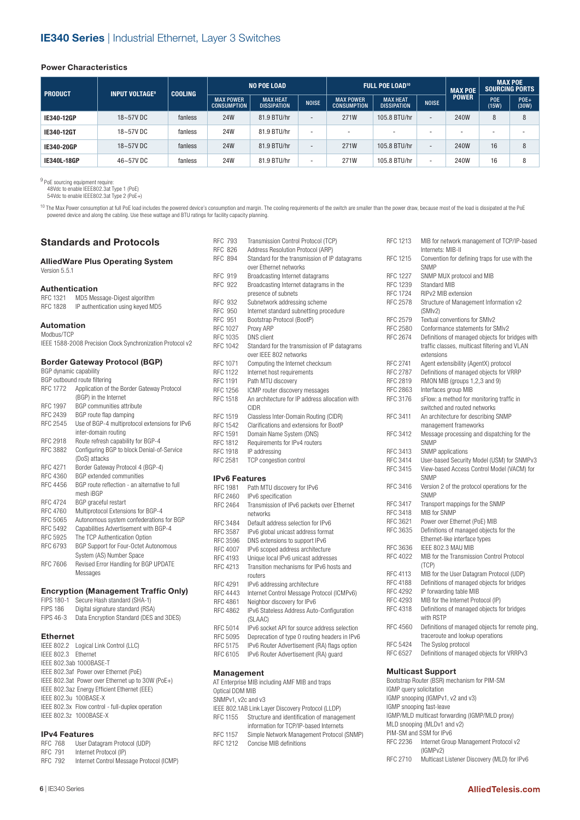#### **Power Characteristics**

| <b>PRODUCT</b> | <b>INPUT VOLTAGE<sup>9</sup></b> | <b>COOLING</b> | <b>NO POE LOAD</b>                     |                                       | <b>FULL POE LOAD<sup>10</sup></b> |                                        |                                       | <b>MAX POE</b>           | <b>MAX POE</b><br><b>SOURCING PORTS</b> |                     |                          |
|----------------|----------------------------------|----------------|----------------------------------------|---------------------------------------|-----------------------------------|----------------------------------------|---------------------------------------|--------------------------|-----------------------------------------|---------------------|--------------------------|
|                |                                  |                | <b>MAX POWER</b><br><b>CONSUMPTION</b> | <b>MAX HEAT</b><br><b>DISSIPATION</b> | <b>NOISE</b>                      | <b>MAX POWER</b><br><b>CONSUMPTION</b> | <b>MAX HEAT</b><br><b>DISSIPATION</b> | <b>NOISE</b>             | <b>POWER</b>                            | <b>POE</b><br>(15W) | $POE+$<br>(30W)          |
| IE340-12GP     | 18~57V DC                        | fanless        | <b>24W</b>                             | 81.9 BTU/hr                           | $\overline{\phantom{a}}$          | 271W                                   | 105.8 BTU/hr                          | $\overline{\phantom{a}}$ | 240W                                    | 8                   | 8                        |
| IE340-12GT     | 18~57VDC                         | fanless        | 24W                                    | 81.9 BTU/hr                           | $\overline{\phantom{a}}$          |                                        |                                       | ۰                        |                                         |                     | $\overline{\phantom{0}}$ |
| IE340-20GP     | $18 - 57V$ DC                    | fanless        | <b>24W</b>                             | 81.9 BTU/hr                           | $\overline{\phantom{a}}$          | 271W                                   | 105.8 BTU/hr                          | $\overline{\phantom{a}}$ | 240W                                    | 16                  | 8                        |
| IE340L-18GP    | 46~57V DC                        | fanless        | 24W                                    | 81.9 BTU/hr                           | $\overline{\phantom{a}}$          | 271W                                   | 105.8 BTU/hr                          | $\overline{\phantom{a}}$ | 240W                                    | 16                  | 8                        |

<sup>9</sup> PoE sourcing equipment require:<br>48Vdc to enable IEEE802.3at Type 1 (PoE)

54Vdc to enable IEEE802.3at Type 2 (PoE+)

**Standards and Protocols**

<sup>10</sup> The Max Power consumption at full PoE load includes the powered device's consumption and margin. The cooling requirements of the switch are smaller than the power draw, because most of the load is dissipated at the Po powered device and along the cabling. Use these wattage and BTU ratings for facility capacity planning.

#### RFC 793 Transmission Control Protocol (TCP)<br>RFC 826 Address Resolution Protocol (ARP) Address Resolution Protocol (ARP) RFC 894 Standard for the transmission of IP datagrams over Ethernet networks RFC 919 Broadcasting Internet datagrams<br>RFC 922 Broadcasting Internet datagrams Broadcasting Internet datagrams in the presence of subnets RFC 932 Subnetwork addressing scheme<br>RFC 950 Internet standard subnetting pro RFC 950 Internet standard subnetting procedure<br>RFC 951 Bootstrap Protocol (BootP) RFC 951 Bootstrap Protocol (BootP)<br>RFC 1027 Proxy ARP RFC 1027 Proxy ARP<br>RFC 1035 DNS client DNS client RFC 1042 Standard for the transmission of IP datagrams over IEEE 802 networks RFC 1071 Computing the Internet checksum<br>RFC 1122 Internet host requirements Internet host requirements RFC 1191 Path MTU discovery RFC 1256 ICMP router discovery messages<br>RFC 1518 An architecture for IP address all An architecture for IP address allocation with CIDR RFC 1519 Classless Inter-Domain Routing (CIDR) RFC 1542 Clarifications and extensions for BootP RFC 1591 Domain Name System (DNS)<br>RFC 1812 Requirements for IPv4 router RFC 1812 Requirements for IPv4 routers<br>RFC 1918 IP addressing IP addressing RFC 2581 TCP congestion control **IPv6 Features** RFC 1981 Path MTU discovery for IPv6<br>REC 2460 IPv6 specification RFC 2460 IPv6 specification<br>RFC 2464 Transmission of IF Transmission of IPv6 packets over Ethernet networks RFC 3484 Default address selection for IPv6<br>RFC 3587 IPv6 global unicast address forma RFC 3587 IPv6 global unicast address format RFC 3596 DNS extensions to support IPv6<br>RFC 4007 IPv6 scoped address architectu RFC 4007 IPv6 scoped address architecture<br>RFC 4193 Unique local IPv6 unicast address Unique local IPv6 unicast addresses RFC 4213 Transition mechanisms for IPv6 hosts and routers RFC 4291 IPv6 addressing architecture<br>RFC 4443 Internet Control Message Pro RFC 4443 Internet Control Message Protocol (ICMPv6)<br>RFC 4861 Neighbor discovery for IPv6 Neighbor discovery for IPv6 RFC 4862 IPv6 Stateless Address Auto-Configuration (SLAAC) RFC 5014 IPv6 socket API for source address selection<br>RFC 5095 Deprecation of type 0 routing headers in IPv6 RFC 5095 Deprecation of type 0 routing headers in IPv6<br>RFC 5175 IPv6 Router Advertisement (RA) flags option IPv6 Router Advertisement (RA) flags option RFC 6105 IPv6 Router Advertisement (RA) guard **AlliedWare Plus Operating System** Version 5.5.1 **Authentication** RFC 1321 MD5 Message-Digest algorithm RFC 1828 IP authentication using keyed MD5 **Automation** Modbus/TCP IEEE 1588-2008 Precision Clock Synchronization Protocol v2 **Border Gateway Protocol (BGP)** BGP dynamic capability BGP outbound route filtering RFC 1772 Application of the Border Gateway Protocol (BGP) in the Internet RFC 1997 BGP communities attribute RFC 2439 BGP route flap damping RFC 2545 Use of BGP-4 multiprotocol extensions for IPv6 inter-domain routing RFC 2918 Route refresh capability for BGP-4 RFC 3882 Configuring BGP to block Denial-of-Service (DoS) attacks RFC 4271 Border Gateway Protocol 4 (BGP-4)<br>RFC 4360 BGP extended communities BGP extended communities RFC 4456 BGP route reflection - an alternative to full mesh iBGP RFC 4724 BGP graceful restart RFC 4760 Multiprotocol Extensions for BGP-4 RFC 5065 Autonomous system confederations for BGP RFC 5492 Capabilities Advertisement with BGP-4 RFC 5925 The TCP Authentication Option RFC 6793 BGP Support for Four-Octet Autonomous System (AS) Number Space RFC 7606 Revised Error Handling for BGP UPDATE Messages **Encryption (Management Traffic Only)** FIPS 180-1 Secure Hash standard (SHA-1) FIPS 186 Digital signature standard (RSA) FIPS 46-3 Data Encryption Standard (DES and 3DES) **Ethernet**  IEEE 802.2 Logical Link Control (LLC) IEEE 802.3 Ethernet IEEE 802.3ab 1000BASE-T

#### **Management**

|                    | AT Enterprise MIB including AMF MIB and traps       |
|--------------------|-----------------------------------------------------|
| Optical DDM MIB    |                                                     |
| SNMPv1, v2c and v3 |                                                     |
|                    | IEEE 802.1AB Link Layer Discovery Protocol (LLDP)   |
|                    | RFC 1155 Structure and identification of management |
|                    | information for TCP/IP-based Internets              |
| RFC 1157           | Simple Network Management Protocol (SNMP)           |
| RFC 1212           | Concise MIB definitions                             |
|                    |                                                     |

| RFC 1213                | MIB for network management of TCP/IP-based                                                                     |
|-------------------------|----------------------------------------------------------------------------------------------------------------|
| RFC 1215                | Internets: MIB-II<br>Convention for defining traps for use with the                                            |
|                         | SNMP                                                                                                           |
| <b>RFC 1227</b>         | SNMP MUX protocol and MIB                                                                                      |
| RFC 1239                | <b>Standard MIB</b>                                                                                            |
| <b>RFC 1724</b>         | RIPv2 MIB extension                                                                                            |
| RFC 2578                | Structure of Management Information v2<br>(SMIv2)                                                              |
| RFC 2579                | Textual conventions for SMIv2                                                                                  |
| RFC 2580                | Conformance statements for SMIv2                                                                               |
| RFC 2674                | Definitions of managed objects for bridges with<br>traffic classes, multicast filtering and VLAN<br>extensions |
| <b>RFC 2741</b>         | Agent extensibility (AgentX) protocol                                                                          |
| <b>RFC 2787</b>         | Definitions of managed objects for VRRP                                                                        |
| RFC 2819                | RMON MIB (groups 1,2,3 and 9)                                                                                  |
| RFC 2863                | Interfaces group MIB                                                                                           |
| RFC 3176                | sFlow: a method for monitoring traffic in                                                                      |
|                         | switched and routed networks                                                                                   |
| RFC 3411                | An architecture for describing SNMP                                                                            |
|                         | management frameworks                                                                                          |
| RFC 3412                | Message processing and dispatching for the<br>SNMP                                                             |
| RFC 3413                | SNMP applications                                                                                              |
| RFC 3414                | User-based Security Model (USM) for SNMPv3                                                                     |
| RFC 3415                | View-based Access Control Model (VACM) for<br><b>SNMP</b>                                                      |
| RFC 3416                | Version 2 of the protocol operations for the<br><b>SNMP</b>                                                    |
| RFC 3417                | Transport mappings for the SNMP                                                                                |
| <b>RFC 3418</b>         | MIB for SNMP                                                                                                   |
| RFC 3621                | Power over Ethernet (PoE) MIB                                                                                  |
| RFC 3635                | Definitions of managed objects for the                                                                         |
|                         | Ethernet-like interface types                                                                                  |
| RFC 3636                | IEEE 802.3 MAU MIB                                                                                             |
| <b>RFC 4022</b>         | MIB for the Transmission Control Protocol<br>(TCP)                                                             |
| <b>RFC 4113</b>         | MIB for the User Datagram Protocol (UDP)                                                                       |
| <b>RFC 4188</b>         | Definitions of managed objects for bridges                                                                     |
| <b>RFC 4292</b>         | IP forwarding table MIB                                                                                        |
| RFC 4293                | MIB for the Internet Protocol (IP)                                                                             |
| RFC 4318                | Definitions of managed objects for bridges<br>with RSTP                                                        |
| RFC 4560                | Definitions of managed objects for remote ping,                                                                |
|                         | traceroute and lookup operations                                                                               |
| RFC 5424                | The Syslog protocol                                                                                            |
| RFC 6527                | Definitions of managed objects for VRRPv3                                                                      |
|                         | <b>Multicast Support</b>                                                                                       |
|                         | Bootstrap Router (BSR) mechanism for PIM-SM                                                                    |
| IGMP query solicitation |                                                                                                                |
|                         | $OMD$ appearing $MDMD$ if $MQ$ and $M$                                                                         |

IGMP snooping (IGMPv1, v2 and v3) IGMP snooping fast-leave IGMP/MLD multicast forwarding (IGMP/MLD proxy) MLD snooping (MLDv1 and v2) PIM-SM and SSM for IPv6 RFC 2236 Internet Group Management Protocol v2 (IGMPv2) RFC 2710 Multicast Listener Discovery (MLD) for IPv6

#### **IPv4 Features**

IEEE 802.3u 100BASE-X

IEEE 802.3z 1000BASE-X

|                | -- - - - - - - - - - |                                          |
|----------------|----------------------|------------------------------------------|
|                | <b>RFC 768</b>       | User Datagram Protocol (UDP)             |
| <b>RFC 791</b> |                      | Internet Protocol (IP)                   |
|                | <b>RFC 792</b>       | Internet Control Message Protocol (ICMP) |

IEEE 802.3x Flow control - full-duplex operation

IEEE 802.3af Power over Ethernet (PoE) IEEE 802.3at Power over Ethernet up to 30W (PoE+) IEEE 802.3az Energy Efficient Ethernet (EEE)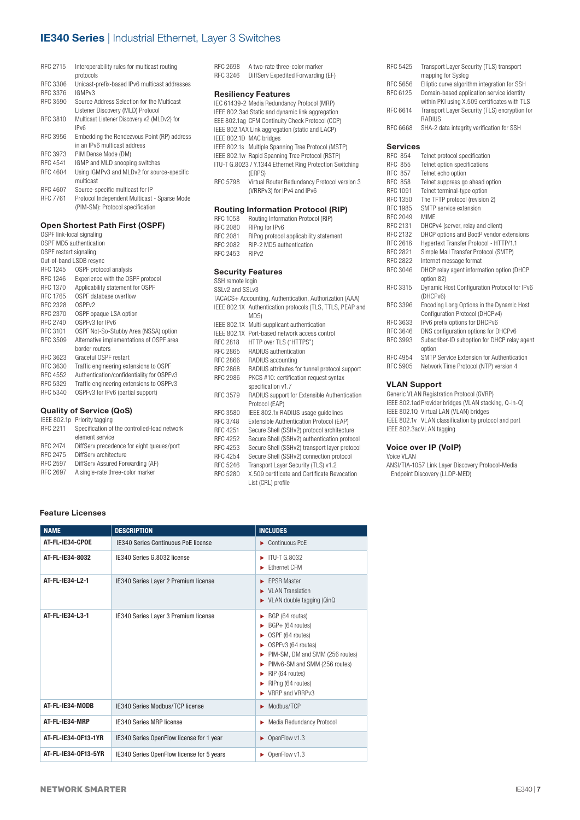#### **IE340 Series** | Industrial Ethernet, Layer 3 Switches

| RFC 2715 | Interoperability rules for multicast routing<br>protocols |
|----------|-----------------------------------------------------------|
| RFC 3306 | Unicast-prefix-based IPv6 multicast addresses             |
| RFC 3376 | IGMP <sub>v3</sub>                                        |
| RFC 3590 | Source Address Selection for the Multicast                |
|          | Listener Discovery (MLD) Protocol                         |
| RFC 3810 | Multicast Listener Discovery v2 (MLDv2) for               |
|          | IP <sub>V6</sub>                                          |
| RFC 3956 | Embedding the Rendezvous Point (RP) address               |
|          | in an IPv6 multicast address                              |
| RFC 3973 | PIM Dense Mode (DM)                                       |
| RFC 4541 | IGMP and MLD snooping switches                            |
| RFC 4604 | Using IGMPv3 and MLDv2 for source-specific                |
|          | multicast                                                 |
| RFC 4607 | Source-specific multicast for IP                          |
| RFC 7761 | Protocol Independent Multicast - Sparse Mode              |

(PIM-SM): Protocol specification

#### **Open Shortest Path First (OSPF)**

| OSPF link-local signaling |                                           |  |  |
|---------------------------|-------------------------------------------|--|--|
| OSPF MD5 authentication   |                                           |  |  |
| OSPF restart signaling    |                                           |  |  |
| Out-of-band LSDB resync   |                                           |  |  |
| RFC 1245                  | OSPF protocol analysis                    |  |  |
| RFC 1246                  | Experience with the OSPF protocol         |  |  |
| RFC 1370                  | Applicability statement for OSPF          |  |  |
| RFC 1765                  | OSPF database overflow                    |  |  |
| RFC 2328                  | OSPF <sub>v2</sub>                        |  |  |
| RFC 2370                  | OSPF opaque LSA option                    |  |  |
| RFC 2740                  | OSPFv3 for IPv6                           |  |  |
| RFC 3101                  | OSPF Not-So-Stubby Area (NSSA) option     |  |  |
| RFC 3509                  | Alternative implementations of OSPF area  |  |  |
|                           | border routers                            |  |  |
| RFC 3623                  | Graceful OSPF restart                     |  |  |
| RFC 3630                  | Traffic engineering extensions to OSPF    |  |  |
| RFC 4552                  | Authentication/confidentiality for OSPFv3 |  |  |
| RFC 5329                  | Traffic engineering extensions to OSPFv3  |  |  |
| RFC 5340                  | OSPFv3 for IPv6 (partial support)         |  |  |
|                           |                                           |  |  |
|                           | <b>Quality of Service (QoS)</b>           |  |  |

#### IEEE 802.1p Priority tagging

| RFC 2211 | Specification of the controlled-load network |
|----------|----------------------------------------------|
|          | element service                              |
| RFC 2474 | DiffServ precedence for eight queues/port    |
| RFC 2475 | DiffServ architecture                        |
| RFC 2597 | DiffServ Assured Forwarding (AF)             |
| RFC 2697 | A single-rate three-color marker             |
|          |                                              |

#### **Resiliency Features** IEC 61439-2 Media Redundancy Protocol (MRP) IEEE 802.3ad Static and dynamic link aggregation EEE 802.1ag CFM Continuity Check Protocol (CCP) IEEE 802.1AX Link aggregation (static and LACP) IEEE 802.1D MAC bridges IEEE 802.1s Multiple Spanning Tree Protocol (MSTP) IEEE 802.1w Rapid Spanning Tree Protocol (RSTP) ITU-T G.8023 / Y.1344 Ethernet Ring Protection Switching (ERPS) RFC 5798 Virtual Router Redundancy Protocol version 3 (VRRPv3) for IPv4 and IPv6 **Routing Information Protocol (RIP)**<br>RFC 1058 Routing Information Protocol (RIP) Routing Information Protocol (RIP) RFC 2080 RIPng for IPv6 RFC 2081 RIPng protocol applicability statement RFC 2082 RIP-2 MD5 authentication RFC 2453 RIPv2 **Security Features** SSH remote login SSLv2 and SSLv3 TACACS+ Accounting, Authentication, Authorization (AAA) IEEE 802.1X Authentication protocols (TLS, TTLS, PEAP and MD5) IEEE 802.1X Multi-supplicant authentication IEEE 802.1X Port-based network access control RFC 2818 HTTP over TLS ("HTTPS") RFC 2865 RADIUS authentication RFC 2866 RADIUS accounting<br>RFC 2868 RADIUS attributes fo RFC 2868 RADIUS attributes for tunnel protocol support<br>RFC 2986 PKCS #10: certification request syntax PKCS #10: certification request syntax specification v1.7 RFC 3579 RADIUS support for Extensible Authentication Protocol (EAP) RFC 3580 IEEE 802.1x RADIUS usage guidelines<br>RFC 3748 Extensible Authentication Protocol (EA RFC 3748 Extensible Authentication Protocol (EAP)<br>RFC 4251 Secure Shell (SSHv2) protocol architectu Secure Shell (SSHv2) protocol architecture RFC 4252 Secure Shell (SSHv2) authentication protocol RFC 4253 Secure Shell (SSHv2) transport layer protocol<br>RFC 4254 Secure Shell (SSHv2) connection protocol RFC 4254 Secure Shell (SSHv2) connection protocol<br>RFC 5246 Transport Laver Security (TLS) v1 2

Transport Layer Security (TLS) v1.2 RFC 5280 X.509 certificate and Certificate Revocation List (CRL) profile

RFC 2698 A two-rate three-color marker RFC 3246 DiffServ Expedited Forwarding (EF) RFC 5425 Transport Layer Security (TLS) transport mapping for Syslog RFC 5656 Elliptic curve algorithm integration for SSH<br>RFC 6125 Domain-based application service identity Domain-based application service identity within PKI using X.509 certificates with TLS RFC 6614 Transport Layer Security (TLS) encryption for **RADIUS** RFC 6668 SHA-2 data integrity verification for SSH **Services**<br>RFC 854 RFC 854 Telnet protocol specification<br>RFC 855 Telnet option specifications Telnet option specifications RFC 857 Telnet echo option RFC 858 Telnet suppress go ahead option RFC 1091 Telnet terminal-type option<br>RFC 1350 The TFTP protocol (revision

The TFTP protocol (revision 2)

| RFC 1985 | SMTP service extension                       |
|----------|----------------------------------------------|
| RFC 2049 | <b>MIMF</b>                                  |
| RFC 2131 | DHCPv4 (server, relay and client)            |
| RFC 2132 | DHCP options and BootP vendor extensions     |
| RFC 2616 | Hypertext Transfer Protocol - HTTP/1.1       |
| RFC 2821 | Simple Mail Transfer Protocol (SMTP)         |
| RFC 2822 | Internet message format                      |
| RFC 3046 | DHCP relay agent information option (DHCP    |
|          | option 82)                                   |
| RFC 3315 | Dynamic Host Configuration Protocol for IPv6 |
|          | (DHCPv6)                                     |
| RFC 3396 | Encoding Long Options in the Dynamic Host    |
|          | Configuration Protocol (DHCPv4)              |
| RFC 3633 | IPv6 prefix options for DHCPv6               |
| RFC 3646 | DNS configuration options for DHCPv6         |
| RFC 3993 | Subscriber-ID suboption for DHCP relay agent |
|          | option                                       |
|          |                                              |

- RFC 4954 SMTP Service Extension for Authentication<br>RFC 5905 Network Time Protocol (NTP) version 4
	- Network Time Protocol (NTP) version 4

#### **VLAN Support**

Generic VLAN Registration Protocol (GVRP) IEEE 802.1ad Provider bridges (VLAN stacking, Q-in-Q) IEEE 802.1Q Virtual LAN (VLAN) bridges IEEE 802.1v VLAN classification by protocol and port IEEE 802.3acVLAN tagging

#### **Voice over IP (VoIP)**

#### Voice VLAN

ANSI/TIA-1057 Link Layer Discovery Protocol-Media Endpoint Discovery (LLDP-MED)

#### **Feature Licenses**

| <b>NAME</b>         | <b>DESCRIPTION</b>                         | <b>INCLUDES</b>                                                                                                                                                                                                    |
|---------------------|--------------------------------------------|--------------------------------------------------------------------------------------------------------------------------------------------------------------------------------------------------------------------|
| AT-FL-IE34-CPOE     | <b>IE340 Series Continuous PoE license</b> | $\triangleright$ Continuous PoF                                                                                                                                                                                    |
| AT-FL-IE34-8032     | IE340 Series G.8032 license                | <b>ITU-T G.8032</b><br><b>Fthernet CFM</b>                                                                                                                                                                         |
| AT-FL-IE34-L2-1     | IE340 Series Layer 2 Premium license       | <b>FPSR Master</b><br>VI AN Translation<br>> VLAN double tagging (QinQ                                                                                                                                             |
| AT-FL-IE34-L3-1     | IE340 Series Layer 3 Premium license       | BGP (64 routes)<br>ь.<br>BGP+ (64 routes)<br>OSPF (64 routes)<br>OSPFv3 (64 routes)<br>PIM-SM, DM and SMM (256 routes)<br>PIMv6-SM and SMM (256 routes)<br>RIP (64 routes)<br>RIPng (64 routes)<br>VRRP and VRRPv3 |
| AT-FL-IE34-MODB     | IE340 Series Modbus/TCP license            | Modbus/TCP                                                                                                                                                                                                         |
| AT-FL-IE34-MRP      | <b>IE340 Series MRP license</b>            | Media Redundancy Protocol                                                                                                                                                                                          |
| AT-FL-IE34-0F13-1YR | IE340 Series OpenFlow license for 1 year   | OpenFlow v1.3                                                                                                                                                                                                      |
| AT-FL-IE34-0F13-5YR | IE340 Series OpenFlow license for 5 years  | OpenFlow v1.3<br>ь                                                                                                                                                                                                 |